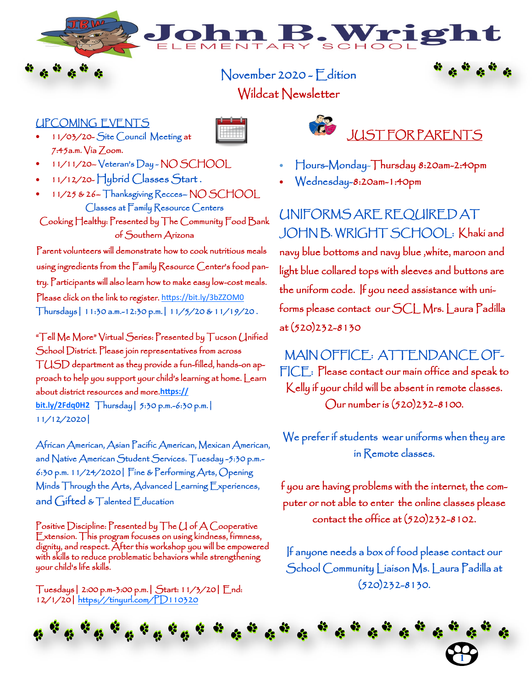## November 2020 - Edition Wildcat Newsletter

NTARY

## UPCOMING EVENTS

- 11/03/20- Site Council Meeting at 7:45a.m. Via Zoom.
- 11/11/20– Veteran's Day NO SCHOOL
- 11/12/20- Hybrid Classes Start .
- 11/25 & 26– Thanksgiving Recces– NO SCHOOL Classes at Family Resource Centers Cooking Healthy: Presented by The Community Food Bank

of Southern Arizona

Parent volunteers will demonstrate how to cook nutritious meals using ingredients from the Family Resource Center's food pantry. Participants will also learn how to make easy low-cost meals. Please click on the link to register. <https://bit.ly/3bZZOM0> Thursdays| 11:30 a.m.-12:30 p.m.| 11/5/20 & 11/19/20 .

"Tell Me More" Virtual Series: Presented by Tucson Unified School District. Please join representatives from across TUSD department as they provide a fun-filled, hands-on approach to help you support your child's learning at home. Learn about district resources and more.**[https://](https://bit.ly/2Fdq0H2) [bit.ly/2Fdq0H2](https://bit.ly/2Fdq0H2)** Thursday| 5:30 p.m.-6:30 p.m.| 11/12/2020|

African American, Asian Pacific American, Mexican American, and Native American Student Services. Tuesday -5:30 p.m.- 6:30 p.m. 11/24/2020| Fine & Performing Arts, Opening Minds Through the Arts, Advanced Learning Experiences, and Gifted & Talented Education

Positive Discipline: Presented by The U of A Cooperative Extension. This program focuses on using kindness, firmness, dignity, and respect. After this workshop you will be empowered with skills to reduce problematic behaviors while strengthening your child's life skills.

Tuesdays| 2:00 p.m-3:00 p.m.| Start: 11/3/20| End: 12/1/20| <https://tinyurl.com/PD110320>



• Hours-Monday-Thursday 8:20am-2:40pm

3. Wrig

• Wednesday-8:20am-1:40pm

UNIFORMS ARE REQUIRED AT JOHN B. WRIGHT SCHOOL: Khaki and navy blue bottoms and navy blue ,white, maroon and light blue collared tops with sleeves and buttons are the uniform code. If you need assistance with uniforms please contact our SCL Mrs. Laura Padilla at (520)232-8130

MAIN OFFICE: ATTENDANCE OF-FICE: Please contact our main office and speak to Kelly if your child will be absent in remote classes. Our number is (520)232-8100.

We prefer if students wear uniforms when they are in Remote classes.

f you are having problems with the internet, the computer or not able to enter the online classes please contact the office at (520)232-8102.

If anyone needs a box of food please contact our School Community Liaison Ms. Laura Padilla at (520)232-8130.

**1**